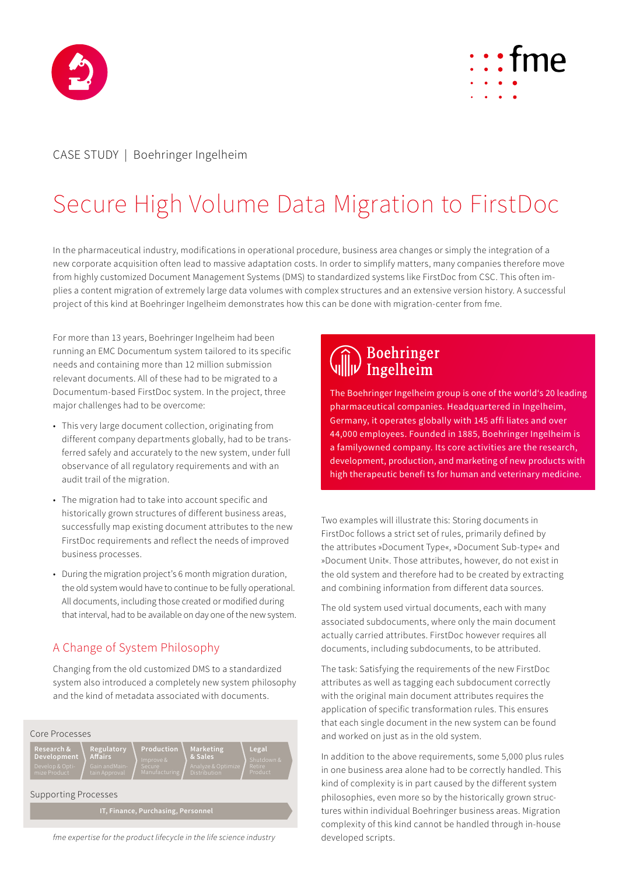



## CASE STUDY | Boehringer Ingelheim

# Secure High Volume Data Migration to FirstDoc

In the pharmaceutical industry, modifications in operational procedure, business area changes or simply the integration of a new corporate acquisition often lead to massive adaptation costs. In order to simplify matters, many companies therefore move from highly customized Document Management Systems (DMS) to standardized systems like FirstDoc from CSC. This often implies a content migration of extremely large data volumes with complex structures and an extensive version history. A successful project of this kind at Boehringer Ingelheim demonstrates how this can be done with migration-center from fme.

For more than 13 years, Boehringer Ingelheim had been running an EMC Documentum system tailored to its specific needs and containing more than 12 million submission relevant documents. All of these had to be migrated to a Documentum-based FirstDoc system. In the project, three major challenges had to be overcome:

- This very large document collection, originating from different company departments globally, had to be transferred safely and accurately to the new system, under full observance of all regulatory requirements and with an audit trail of the migration.
- The migration had to take into account specific and historically grown structures of different business areas, successfully map existing document attributes to the new FirstDoc requirements and reflect the needs of improved business processes.
- During the migration project's 6 month migration duration, the old system would have to continue to be fully operational. All documents, including those created or modified during that interval, had to be available on day one of the new system.

### A Change of System Philosophy

Changing from the old customized DMS to a standardized system also introduced a completely new system philosophy and the kind of metadata associated with documents.



*fme expertise for the product lifecycle in the life science industry*

# Boehringer<br>||| Ingelheim

The Boehringer Ingelheim group is one of the world's 20 leading pharmaceutical companies. Headquartered in Ingelheim, Germany, it operates globally with 145 affi liates and over 44,000 employees. Founded in 1885, Boehringer Ingelheim is a familyowned company. Its core activities are the research, development, production, and marketing of new products with high therapeutic benefi ts for human and veterinary medicine.

Two examples will illustrate this: Storing documents in FirstDoc follows a strict set of rules, primarily defined by the attributes »Document Type«, »Document Sub-type« and »Document Unit«. Those attributes, however, do not exist in the old system and therefore had to be created by extracting and combining information from different data sources.

The old system used virtual documents, each with many associated subdocuments, where only the main document actually carried attributes. FirstDoc however requires all documents, including subdocuments, to be attributed.

The task: Satisfying the requirements of the new FirstDoc attributes as well as tagging each subdocument correctly with the original main document attributes requires the application of specific transformation rules. This ensures that each single document in the new system can be found and worked on just as in the old system.

In addition to the above requirements, some 5,000 plus rules in one business area alone had to be correctly handled. This kind of complexity is in part caused by the different system philosophies, even more so by the historically grown structures within individual Boehringer business areas. Migration complexity of this kind cannot be handled through in-house developed scripts.